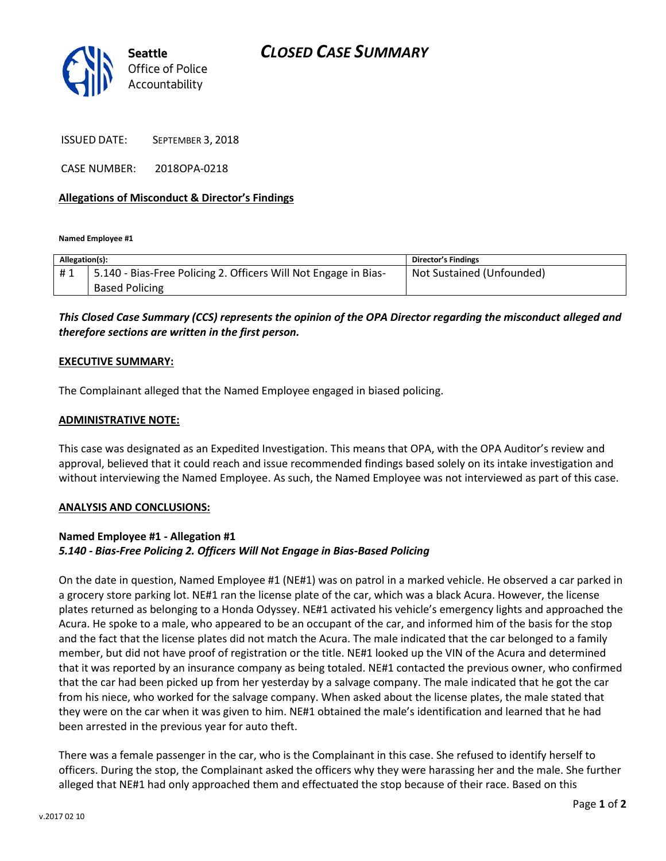

ISSUED DATE: SEPTEMBER 3, 2018

CASE NUMBER: 2018OPA-0218

#### **Allegations of Misconduct & Director's Findings**

**Named Employee #1**

| Allegation(s): |                                                                   | <b>Director's Findings</b> |
|----------------|-------------------------------------------------------------------|----------------------------|
| #1             | 1 5.140 - Bias-Free Policing 2. Officers Will Not Engage in Bias- | Not Sustained (Unfounded)  |
|                | <b>Based Policing</b>                                             |                            |

## *This Closed Case Summary (CCS) represents the opinion of the OPA Director regarding the misconduct alleged and therefore sections are written in the first person.*

#### **EXECUTIVE SUMMARY:**

The Complainant alleged that the Named Employee engaged in biased policing.

#### **ADMINISTRATIVE NOTE:**

This case was designated as an Expedited Investigation. This means that OPA, with the OPA Auditor's review and approval, believed that it could reach and issue recommended findings based solely on its intake investigation and without interviewing the Named Employee. As such, the Named Employee was not interviewed as part of this case.

#### **ANALYSIS AND CONCLUSIONS:**

### **Named Employee #1 - Allegation #1** *5.140 - Bias-Free Policing 2. Officers Will Not Engage in Bias-Based Policing*

On the date in question, Named Employee #1 (NE#1) was on patrol in a marked vehicle. He observed a car parked in a grocery store parking lot. NE#1 ran the license plate of the car, which was a black Acura. However, the license plates returned as belonging to a Honda Odyssey. NE#1 activated his vehicle's emergency lights and approached the Acura. He spoke to a male, who appeared to be an occupant of the car, and informed him of the basis for the stop and the fact that the license plates did not match the Acura. The male indicated that the car belonged to a family member, but did not have proof of registration or the title. NE#1 looked up the VIN of the Acura and determined that it was reported by an insurance company as being totaled. NE#1 contacted the previous owner, who confirmed that the car had been picked up from her yesterday by a salvage company. The male indicated that he got the car from his niece, who worked for the salvage company. When asked about the license plates, the male stated that they were on the car when it was given to him. NE#1 obtained the male's identification and learned that he had been arrested in the previous year for auto theft.

There was a female passenger in the car, who is the Complainant in this case. She refused to identify herself to officers. During the stop, the Complainant asked the officers why they were harassing her and the male. She further alleged that NE#1 had only approached them and effectuated the stop because of their race. Based on this